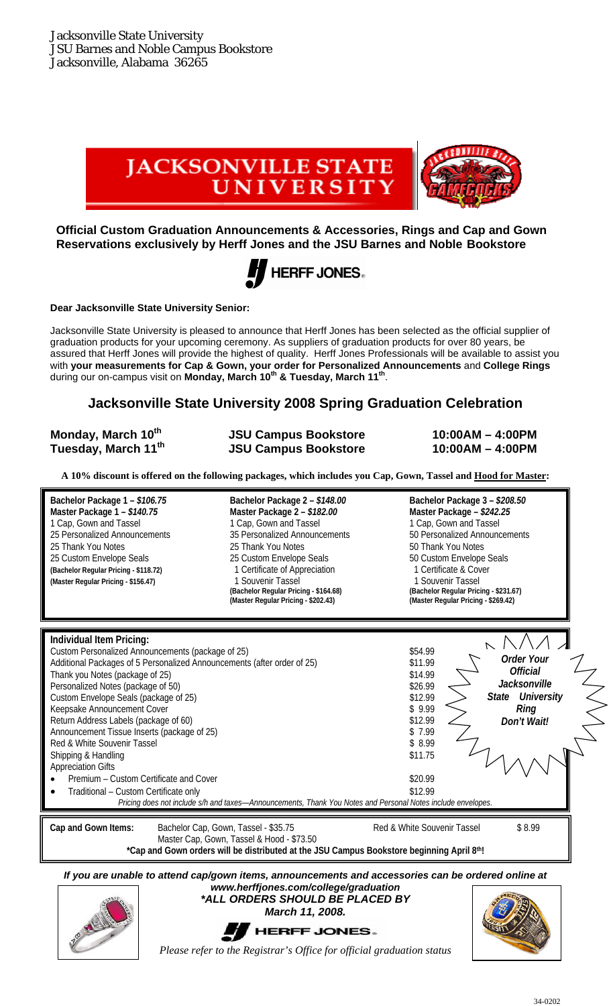

**Official Custom Graduation Announcements & Accessories, Rings and Cap and Gown Reservations exclusively by Herff Jones and the JSU Barnes and Noble Bookstore** 



**Dear Jacksonville State University Senior:** 

Jacksonville State University is pleased to announce that Herff Jones has been selected as the official supplier of graduation products for your upcoming ceremony. As suppliers of graduation products for over 80 years, be assured that Herff Jones will provide the highest of quality. Herff Jones Professionals will be available to assist you with **your measurements for Cap & Gown, your order for Personalized Announcements** and **College Rings** during our on-campus visit on **Monday, March 10th & Tuesday, March 11th**.

### **Jacksonville State University 2008 Spring Graduation Celebration**

| Monday, March 10 <sup>th</sup> | <b>JSU Campus Bookstore</b> | $10:00AM - 4:00PM$ |
|--------------------------------|-----------------------------|--------------------|
| Tuesday, March 11th            | <b>JSU Campus Bookstore</b> | $10:00AM - 4:00PM$ |

**A 10% discount is offered on the following packages, which includes you Cap, Gown, Tassel and Hood for Master:** 

**Master Package 1 –** *\$140.75* **Master Package 2 –** *\$182.00* **Master Package –** *\$242.25*  1 Cap, Gown and Tassel 1 Cap, Gown and Tassel 1 Cap, Gown and Tassel 25 Thank You Notes 25 Thank You Notes 25 Thank You Notes 25 Custom Envelope Seals<br>25 Custom Envelope Seals 25 Custom Envelope Seals 25 Custom Envelope Seals 25 Custom Envelope Seals 25 Custom Envelope Seals **(Bachelor Regular Pricing - \$118.72)** 1 Certificate of Appreciation 1 Certificate & Cover

Master Regular Pricing - \$156.47) **1 Souvenir Tassel 1 Souvenir Tassel** (Bachelor Regular Pricing - \$164.68) **(Bachelor Regular Pricing - \$231.67) (Bachelor Regular Pricing - \$231.43**) **(Master Regular Pricing - \$231.43** 

**Bachelor Package 1 –** *\$106.75* **Bachelor Package 2 –** *\$148.00* **Bachelor Package 3 –** *\$208.50*  25 Personalized Announcements 35 Personalized Announcements 50 Personalized Announcements

**(Master Regular Pricing - \$202.43) (Master Regular Pricing - \$269.42)**

**Individual Item Pricing:**   $\triangleright$  $\overline{N}$ Custom Personalized Announcements (package of 25) \$54.99 *Order Your*  Additional Packages of 5 Personalized Announcements (after order of 25) \$11.99<br>Thank you Notes (package of 25) *Official*  Thank you Notes (package of 25) *Jacksonville*  Personalized Notes (package of 50) \$26.99 *State University* Custom Envelope Seals (package of 25)<br>Keensake Announcement Cover<br>\$ 9.99  *Ring*  Keepsake Announcement Cover Return Address Labels (package of 60)  $$12.99$ *Don't Wait!*  Announcement Tissue Inserts (package of 25)  $\frac{1}{2}$  8  $\frac{1}{2}$  5  $\frac{1}{2}$  5  $\frac{1}{2}$  5  $\frac{1}{2}$ Red & White Souvenir Tassel **by a strategie of the Souvenir Tassel**  $\frac{1}{3}$  8.99 Shipping & Handling  $$11.75$ Appreciation Gifts Premium – Custom Certificate and Cover \$20.99 Traditional – Custom Certificate only  $$12.99$ *Pricing does not include s/h and taxes—Announcements, Thank You Notes and Personal Notes include envelopes.*  **Cap and Gown Items:** Bachelor Cap, Gown, Tassel - \$35.75 Red & White Souvenir Tassel \$ 8.99 Master Cap, Gown, Tassel & Hood - \$73.50 **\*Cap and Gown orders will be distributed at the JSU Campus Bookstore beginning April 8th!** 

*If you are unable to attend cap/gown items, announcements and accessories can be ordered online at www.herffjones.com/college/graduation* 







*Please refer to the Registrar's Office for official graduation status*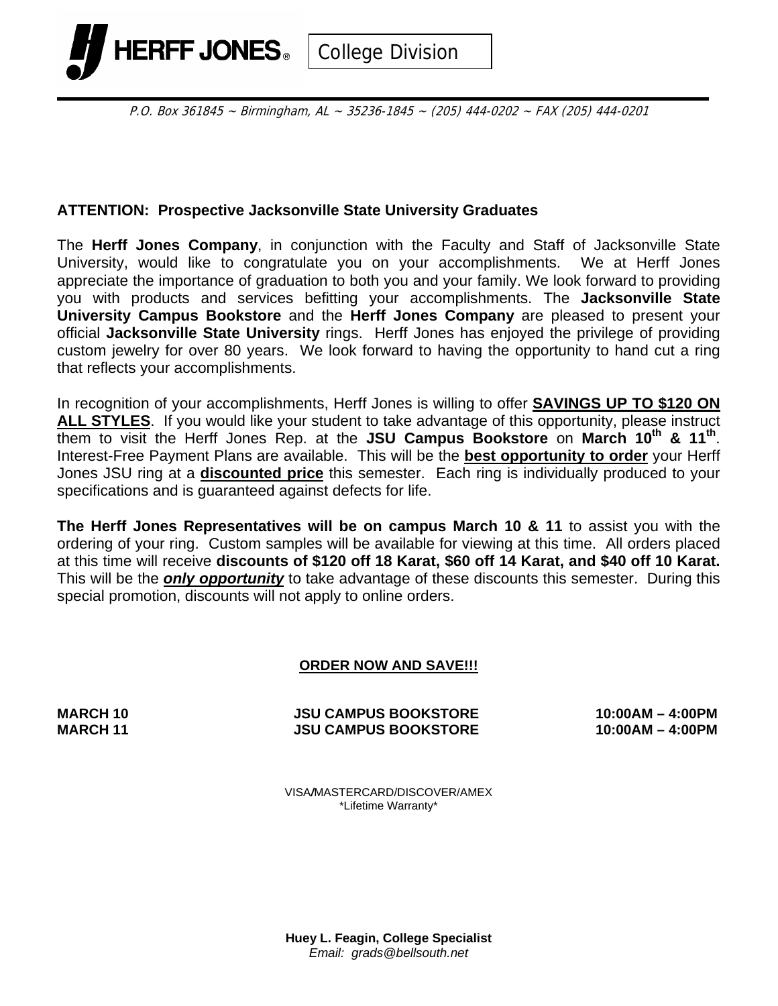

P.O. Box 361845 ~ Birmingham, AL ~ 35236-1845 ~ (205) 444-0202 ~ FAX (205) 444-0201

### **ATTENTION: Prospective Jacksonville State University Graduates**

The **Herff Jones Company**, in conjunction with the Faculty and Staff of Jacksonville State University, would like to congratulate you on your accomplishments. We at Herff Jones appreciate the importance of graduation to both you and your family. We look forward to providing you with products and services befitting your accomplishments. The **Jacksonville State University Campus Bookstore** and the **Herff Jones Company** are pleased to present your official **Jacksonville State University** rings. Herff Jones has enjoyed the privilege of providing custom jewelry for over 80 years. We look forward to having the opportunity to hand cut a ring that reflects your accomplishments.

In recognition of your accomplishments, Herff Jones is willing to offer **SAVINGS UP TO \$120 ON ALL STYLES**. If you would like your student to take advantage of this opportunity, please instruct them to visit the Herff Jones Rep. at the **JSU Campus Bookstore** on **March 10th & 11th**. Interest-Free Payment Plans are available. This will be the **best opportunity to order** your Herff Jones JSU ring at a **discounted price** this semester. Each ring is individually produced to your specifications and is guaranteed against defects for life.

**The Herff Jones Representatives will be on campus March 10 & 11** to assist you with the ordering of your ring. Custom samples will be available for viewing at this time. All orders placed at this time will receive **discounts of \$120 off 18 Karat, \$60 off 14 Karat, and \$40 off 10 Karat.** This will be the *only opportunity* to take advantage of these discounts this semester. During this special promotion, discounts will not apply to online orders.

#### **ORDER NOW AND SAVE!!!**

**MARCH 10 JSU CAMPUS BOOKSTORE 10:00AM – 4:00PM MARCH 11 JSU CAMPUS BOOKSTORE 10:00AM – 4:00PM** 

VISA*/*MASTERCARD/DISCOVER/AMEX \*Lifetime Warranty\*